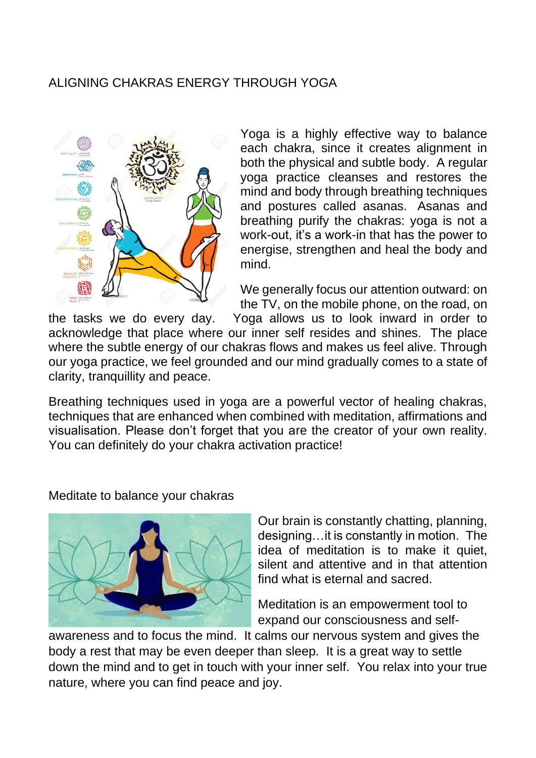## ALIGNING CHAKRAS ENERGY THROUGH YOGA



Yoga is a highly effective way to balance each chakra, since it creates alignment in both the physical and subtle body. A regular yoga practice cleanses and restores the mind and body through breathing techniques and postures called asanas. Asanas and breathing purify the chakras: yoga is not a work-out, it's a work-in that has the power to energise, strengthen and heal the body and mind.

We generally focus our attention outward: on the TV, on the mobile phone, on the road, on

the tasks we do every day. Yoga allows us to look inward in order to acknowledge that place where our inner self resides and shines. The place where the subtle energy of our chakras flows and makes us feel alive. Through our yoga practice, we feel grounded and our mind gradually comes to a state of clarity, tranquillity and peace.

Breathing techniques used in yoga are a powerful vector of healing chakras, techniques that are enhanced when combined with meditation, affirmations and visualisation. Please don't forget that you are the creator of your own reality. You can definitely do your chakra activation practice!

Meditate to balance your chakras



Our brain is constantly chatting, planning, designing…it is constantly in motion. The idea of meditation is to make it quiet, silent and attentive and in that attention find what is eternal and sacred.

Meditation is an empowerment tool to expand our consciousness and self-

awareness and to focus the mind. It calms our nervous system and gives the body a rest that may be even deeper than sleep. It is a great way to settle down the mind and to get in touch with your inner self. You relax into your true nature, where you can find peace and joy.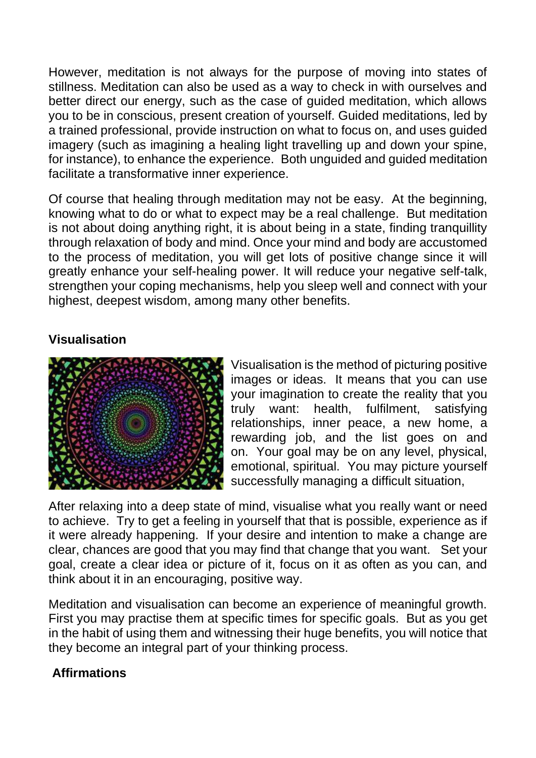However, meditation is not always for the purpose of moving into states of stillness. Meditation can also be used as a way to check in with ourselves and better direct our energy, such as the case of guided meditation, which allows you to be in conscious, present creation of yourself. Guided meditations, led by a trained professional, provide instruction on what to focus on, and uses guided imagery (such as imagining a healing light travelling up and down your spine, for instance), to enhance the experience. Both unguided and guided meditation facilitate a transformative inner experience.

Of course that healing through meditation may not be easy. At the beginning, knowing what to do or what to expect may be a real challenge. But meditation is not about doing anything right, it is about being in a state, finding tranquillity through relaxation of body and mind. Once your mind and body are accustomed to the process of meditation, you will get lots of positive change since it will greatly enhance your self-healing power. It will reduce your negative self-talk, strengthen your coping mechanisms, help you sleep well and connect with your highest, deepest wisdom, among many other benefits.

## **Visualisation**



Visualisation is the method of picturing positive images or ideas. It means that you can use your imagination to create the reality that you truly want: health, fulfilment, satisfying relationships, inner peace, a new home, a rewarding job, and the list goes on and on. Your goal may be on any level, physical, emotional, spiritual. You may picture yourself successfully managing a difficult situation,

After relaxing into a deep state of mind, visualise what you really want or need to achieve. Try to get a feeling in yourself that that is possible, experience as if it were already happening. If your desire and intention to make a change are clear, chances are good that you may find that change that you want. Set your goal, create a clear idea or picture of it, focus on it as often as you can, and think about it in an encouraging, positive way.

Meditation and visualisation can become an experience of meaningful growth. First you may practise them at specific times for specific goals. But as you get in the habit of using them and witnessing their huge benefits, you will notice that they become an integral part of your thinking process.

## **Affirmations**